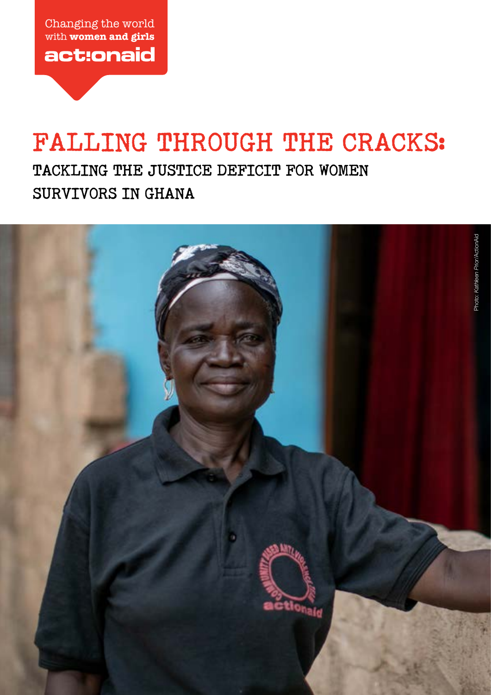Changing the world with **women and girls** act:onaid

# **FALLING THROUGH THE CRACKS:**

**TACKLING THE JUSTICE DEFICIT FOR WOMEN SURVIVORS IN GHANA**

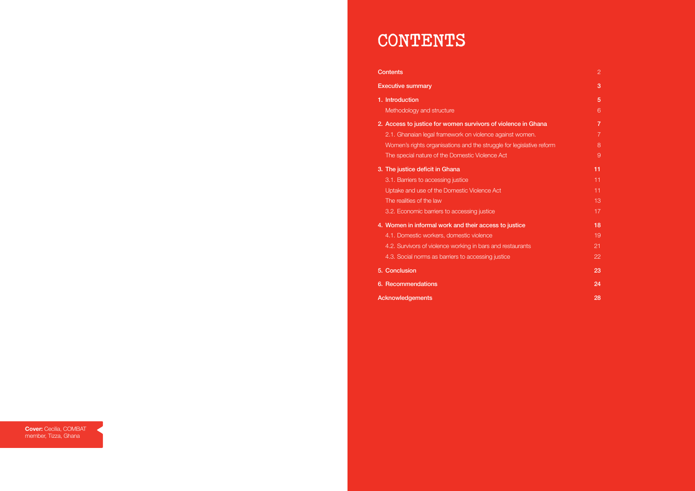- 4.1. Domestic workers, domestic violence 19 and 19 and 19 and 19 and 19 and 19 and 19 and 19 and 19 and 19 and 19 and 19 and 19 and 19 and 19 and 19 and 19 and 19 and 19 and 19 and 19 and 19 and 19 and 19 and 19 and 19 and
- 4.2. Survivors of violence working in bars and restaurants 21
- 4.3. Social norms as barriers to accessing justice 22

#### Acknowledgements **28**

# Executive summary 3 and 3 and 3 and 3 and 3 and 3 and 3 and 3 and 3 and 3 and 3 and 3 and 3 and 3 and 3 and 3 and 3 and 3 and 3 and 3 and 3 and 3 and 3 and 3 and 3 and 3 and 3 and 3 and 3 and 3 and 3 and 3 and 3 and 3 and 1. Introduction **1. Introduction** 5 Methodology and structure 6 and 100 million control of the Control of Control of G **3.** The justice deficit in Ghana **11 11 11** 5. Conclusion 23 6. Recommendations 24

# **CONTENTS**

#### **Contents** 2

2. Access to justice for women survivors of violence in Ghana 7 7

2.1. Ghanaian legal framework on violence against women. **7** 2.1. Ghanaian legal framework on violence against women. Women's rights organisations and the struggle for legislative reform 8 The special nature of the Domestic Violence Act 9 (9) West 1999 and 9 (9) West 1999 and 9 (9) West 1999 and 9

**3.1. Barriers to accessing justice 11 11 11 11 11 11** Uptake and use of the Domestic Violence Act 11 and 11 and 11 and 11 and 11 and 11 and 11 and 11 and 11 and 11 and 11 and 11 and 11 and 11 and 11 and 11 and 11 and 11 and 11 and 11 and 11 and 11 and 12 and 12 and 12 and 12 The realities of the law 13 3.2. Economic barriers to accessing justice 17 and 17 and 17 and 17 and 17 and 17 and 17 and 17 and 17 and 17

#### 4. Women in informal work and their access to justice 18 18

**Cover:** Cecilia, COMBAT member, Tizza, Ghana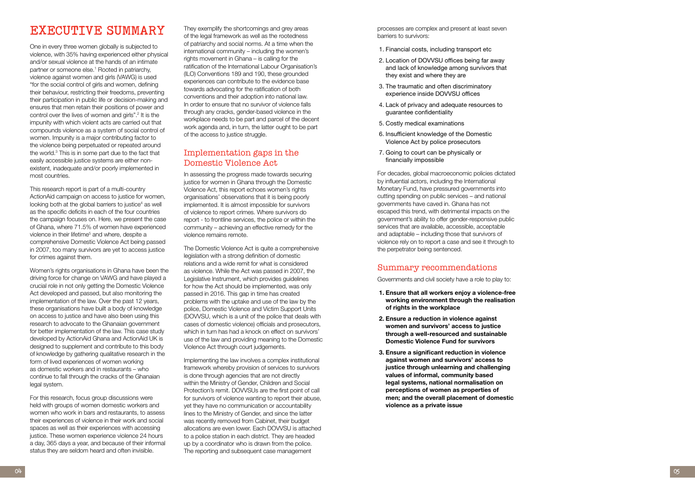# **EXECUTIVE SUMMARY**

One in every three women globally is subjected to violence, with 35% having experienced either physical and/or sexual violence at the hands of an intimate partner or someone else. 1 Rooted in patriarchy, violence against women and girls (VAWG) is used "for the social control of girls and women, defining their behaviour, restricting their freedoms, preventing their participation in public life or decision-making and ensures that men retain their positions of power and control over the lives of women and girls". 2 It is the impunity with which violent acts are carried out that compounds violence as a system of social control of women. Impunity is a major contributing factor to the violence being perpetuated or repeated around the world. 3 This is in some part due to the fact that easily accessible justice systems are either nonexistent, inadequate and/or poorly implemented in most countries.

This research report is part of a multi-country ActionAid campaign on access to justice for women, looking both at the global barriers to justice<sup>4</sup> as well as the specific deficits in each of the four countries the campaign focuses on. Here, we present the case of Ghana, where 71.5% of women have experienced violence in their lifetime<sup>5</sup> and where, despite a comprehensive Domestic Violence Act being passed in 2007, too many survivors are yet to access justice for crimes against them.

Women's rights organisations in Ghana have been the driving force for change on VAWG and have played a crucial role in not only getting the Domestic Violence Act developed and passed, but also monitoring the implementation of the law. Over the past 12 years, these organisations have built a body of knowledge on access to justice and have also been using this research to advocate to the Ghanaian government for better implementation of the law. This case study developed by ActionAid Ghana and ActionAid UK is designed to supplement and contribute to this body of knowledge by gathering qualitative research in the form of lived experiences of women working as domestic workers and in restaurants – who continue to fall through the cracks of the Ghanaian legal system.

For this research, focus group discussions were held with groups of women domestic workers and women who work in bars and restaurants, to assess their experiences of violence in their work and social spaces as well as their experiences with accessing justice. These women experience violence 24 hours a day, 365 days a year, and because of their informal status they are seldom heard and often invisible.

They exemplify the shortcomings and grey areas of the legal framework as well as the rootedness of patriarchy and social norms. At a time when the international community – including the women's rights movement in Ghana – is calling for the ratification of the International Labour Organisation's (ILO) Conventions 189 and 190, these grounded experiences can contribute to the evidence base towards advocating for the ratification of both conventions and their adoption into national law. In order to ensure that no survivor of violence falls through any cracks, gender-based violence in the workplace needs to be part and parcel of the decent work agenda and, in turn, the latter ought to be part of the access to justice struggle.

#### Implementation gaps in the Domestic Violence Act

In assessing the progress made towards securing justice for women in Ghana through the Domestic Violence Act, this report echoes women's rights organisations' observations that it is being poorly implemented. It is almost impossible for survivors of violence to report crimes. Where survivors do report - to frontline services, the police or within the community – achieving an effective remedy for the violence remains remote.

The Domestic Violence Act is quite a comprehensive legislation with a strong definition of domestic relations and a wide remit for what is considered as violence. While the Act was passed in 2007, the Legislative Instrument, which provides guidelines for how the Act should be implemented, was only passed in 2016. This gap in time has created problems with the uptake and use of the law by the police, Domestic Violence and Victim Support Units (DOVVSU, which is a unit of the police that deals with cases of domestic violence) officials and prosecutors, which in turn has had a knock on effect on survivors' use of the law and providing meaning to the Domestic Violence Act through court judgements.

Implementing the law involves a complex institutional framework whereby provision of services to survivors is done through agencies that are not directly within the Ministry of Gender, Children and Social Protection's remit. DOVVSUs are the first point of call for survivors of violence wanting to report their abuse, yet they have no communication or accountability lines to the Ministry of Gender, and since the latter was recently removed from Cabinet, their budget allocations are even lower. Each DOVVSU is attached to a police station in each district. They are headed up by a coordinator who is drawn from the police. The reporting and subsequent case management

processes are complex and present at least seven barriers to survivors:

- 1. Financial costs, including transport etc
- 2. Location of DOVVSU offices being far away and lack of knowledge among survivors that they exist and where they are
- 3. The traumatic and often discriminatory experience inside DOVVSU offices
- 4. Lack of privacy and adequate resources to guarantee confidentiality
- 5. Costly medical examinations
- 6. Insufficient knowledge of the Domestic Violence Act by police prosecutors
- 7. Going to court can be physically or financially impossible

For decades, global macroeconomic policies dictated by influential actors, including the International Monetary Fund, have pressured governments into cutting spending on public services – and national governments have caved in. Ghana has not escaped this trend, with detrimental impacts on the government's ability to offer gender-responsive public services that are available, accessible, acceptable and adaptable – including those that survivors of violence rely on to report a case and see it through to the perpetrator being sentenced.

#### Summary recommendations

Governments and civil society have a role to play to:

- **1. Ensure that all workers enjoy a violence-free working environment through the realisation of rights in the workplace**
- **2. Ensure a reduction in violence against women and survivors' access to justice through a well-resourced and sustainable Domestic Violence Fund for survivors**
- **3. Ensure a significant reduction in violence against women and survivors' access to justice through unlearning and challenging values of informal, community based legal systems, national normalisation on perceptions of women as properties of men; and the overall placement of domestic violence as a private issue**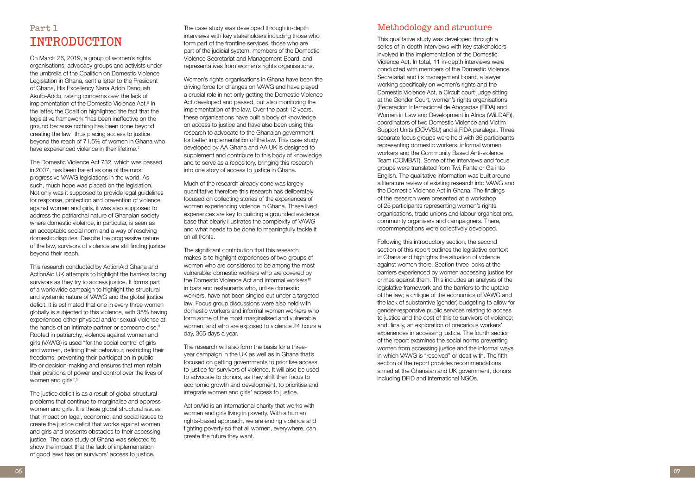**06 07**

The case study was developed through in-depth interviews with key stakeholders including those who form part of the frontline services, those who are part of the judicial system, members of the Domestic Violence Secretariat and Management Board, and representatives from women's rights organisations.

Women's rights organisations in Ghana have been the driving force for changes on VAWG and have played a crucial role in not only getting the Domestic Violence Act developed and passed, but also monitoring the implementation of the law. Over the past 12 years, these organisations have built a body of knowledge on access to justice and have also been using this research to advocate to the Ghanaian government for better implementation of the law. This case study developed by AA Ghana and AA UK is designed to supplement and contribute to this body of knowledge and to serve as a repository, bringing this research into one story of access to justice in Ghana.

Much of the research already done was largely quantitative therefore this research has deliberately focused on collecting stories of the experiences of women experiencing violence in Ghana. These lived experiences are key to building a grounded evidence base that clearly illustrates the complexity of VAWG and what needs to be done to meaningfully tackle it on all fronts.

The significant contribution that this research makes is to highlight experiences of two groups of women who are considered to be among the most vulnerable: domestic workers who are covered by the Domestic Violence Act and informal workers<sup>10</sup> in bars and restaurants who, unlike domestic workers, have not been singled out under a targeted law. Focus group discussions were also held with domestic workers and informal women workers who form some of the most marginalised and vulnerable women, and who are exposed to violence 24 hours a day, 365 days a year.

The research will also form the basis for a threeyear campaign in the UK as well as in Ghana that's focused on getting governments to prioritise access to justice for survivors of violence. It will also be used to advocate to donors, as they shift their focus to economic growth and development, to prioritise and integrate women and girls' access to justice.

ActionAid is an international charity that works with women and girls living in poverty. With a human rights-based approach, we are ending violence and fighting poverty so that all women, everywhere, can create the future they want.

### Methodology and structure

This research conducted by ActionAid Ghana and ActionAid UK attempts to highlight the barriers facing survivors as they try to access justice. It forms part of a worldwide campaign to highlight the structural and systemic nature of VAWG and the global justice deficit. It is estimated that one in every three women globally is subjected to this violence, with 35% having experienced either physical and/or sexual violence at the hands of an intimate partner or someone else. 8 Rooted in patriarchy, violence against women and girls (VAWG) is used "for the social control of girls and women, defining their behaviour, restricting their freedoms, preventing their participation in public life or decision-making and ensures that men retain their positions of power and control over the lives of women and girls".<sup>9</sup>

This qualitative study was developed through a series of in-depth interviews with key stakeholders involved in the implementation of the Domestic Violence Act. In total, 11 in-depth interviews were conducted with members of the Domestic Violence Secretariat and its management board, a lawyer working specifically on women's rights and the Domestic Violence Act, a Circuit court judge sitting at the Gender Court, women's rights organisations (Federacion Internacional de Abogadas (FIDA) and Women in Law and Development in Africa (WiLDAF)), coordinators of two Domestic Violence and Victim Support Units (DOVVSU) and a FIDA paralegal. Three separate focus groups were held with 36 participants representing domestic workers, informal women workers and the Community Based Anti-violence Team (COMBAT). Some of the interviews and focus groups were translated from Twi, Fante or Ga into English. The qualitative information was built around a literature review of existing research into VAWG and the Domestic Violence Act in Ghana. The findings of the research were presented at a workshop of 25 participants representing women's rights organisations, trade unions and labour organisations, community organisers and campaigners. There, recommendations were collectively developed.

Following this introductory section, the second section of this report outlines the legislative context in Ghana and highlights the situation of violence against women there. Section three looks at the barriers experienced by women accessing justice for crimes against them. This includes an analysis of the legislative framework and the barriers to the uptake of the law; a critique of the economics of VAWG and the lack of substantive (gender) budgeting to allow for gender-responsive public services relating to access to justice and the cost of this to survivors of violence; and, finally, an exploration of precarious workers' experiences in accessing justice. The fourth section of the report examines the social norms preventing women from accessing justice and the informal ways in which VAWG is "resolved" or dealt with. The fifth section of the report provides recommendations aimed at the Ghanaian and UK government, donors including DFID and international NGOs.

# **Part 1 INTRODUCTION**

On March 26, 2019, a group of women's rights organisations, advocacy groups and activists under the umbrella of the Coalition on Domestic Violence Legislation in Ghana, sent a letter to the President of Ghana, His Excellency Nana Addo Danquah Akufo-Addo, raising concerns over the lack of implementation of the Domestic Violence Act.<sup>6</sup> In the letter, the Coalition highlighted the fact that the legislative framework "has been ineffective on the ground because nothing has been done beyond creating the law" thus placing access to justice beyond the reach of 71.5% of women in Ghana who have experienced violence in their lifetime. 7

The Domestic Violence Act 732, which was passed in 2007, has been hailed as one of the most progressive VAWG legislations in the world. As such, much hope was placed on the legislation. Not only was it supposed to provide legal guidelines for response, protection and prevention of violence against women and girls, it was also supposed to address the patriarchal nature of Ghanaian society where domestic violence, in particular, is seen as an acceptable social norm and a way of resolving domestic disputes. Despite the progressive nature of the law, survivors of violence are still finding justice beyond their reach.

The justice deficit is as a result of global structural problems that continue to marginalise and oppress women and girls. It is these global structural issues that impact on legal, economic, and social issues to create the justice deficit that works against women and girls and presents obstacles to their accessing justice. The case study of Ghana was selected to show the impact that the lack of implementation of good laws has on survivors' access to justice.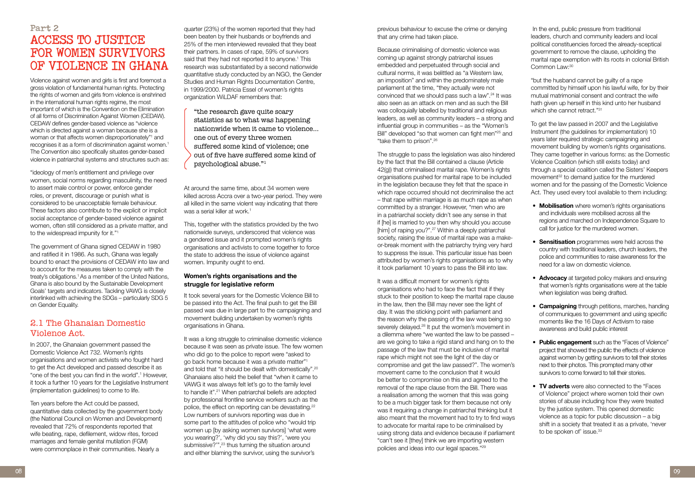previous behaviour to excuse the crime or denying that any crime had taken place.

Because criminalising of domestic violence was coming up against strongly patriarchal issues embedded and perpetuated through social and cultural norms, it was belittled as "a Western law, an imposition" and within the predominately male parliament at the time, "they actually were not convinced that we should pass such a law".24 It was also seen as an attack on men and as such the Bill was colloquially labelled by traditional and religious leaders, as well as community leaders – a strong and influential group in communities – as the "Women's Bill" developed "so that women can fight men"<sup>25</sup> and "take them to prison".26

The struggle to pass the legislation was also hindered by the fact that the Bill contained a clause (Article 42(g)) that criminalised marital rape. Women's rights organisations pushed for marital rape to be included in the legislation because they felt that the space in which rape occurred should not decriminalise the act – that rape within marriage is as much rape as when committed by a stranger. However, "men who are in a patriarchal society didn't see any sense in that if [he] is married to you then why should you accuse [him] of raping you?".<sup>27</sup> Within a deeply patriarchal society, raising the issue of marital rape was a makeor-break moment with the patriarchy trying very hard to suppress the issue. This particular issue has been attributed by women's rights organisations as to why it took parliament 10 years to pass the Bill into law.

 In the end, public pressure from traditional leaders, church and community leaders and local political constituencies forced the already-sceptical government to remove the clause, upholding the marital rape exemption with its roots in colonial British Common Law:<sup>30</sup>

"but the husband cannot be guilty of a rape committed by himself upon his lawful wife, for by their mutual matrimonial consent and contract the wife hath given up herself in this kind unto her husband which she cannot retract."<sup>31</sup>

- **Mobilisation** where women's rights organisations and individuals were mobilised across all the regions and marched on Independence Square to call for justice for the murdered women.
- **Sensitisation** programmes were held across the country with traditional leaders, church leaders, the police and communities to raise awareness for the need for a law on domestic violence.
- **Advocacy** at targeted policy makers and ensuring that women's rights organisations were at the table when legislation was being drafted.
- **Campaigning** through petitions, marches, handing of communiques to government and using specific moments like the 16 Days of Activism to raise awareness and build public interest
- **Public engagement** such as the "Faces of Violence" project that showed the public the effects of violence against women by getting survivors to tell their stories next to their photos. This prompted many other survivors to come forward to tell their stories.
- **TV adverts** were also connected to the "Faces of Violence" project where women told their own stories of abuse including how they were treated by the justice system. This opened domestic violence as a topic for public discussion – a big shift in a society that treated it as a private, 'never to be spoken of' issue.<sup>33</sup>

It was a difficult moment for women's rights organisations who had to face the fact that if they stuck to their position to keep the marital rape clause in the law, then the Bill may never see the light of day. It was the sticking point with parliament and the reason why the passing of the law was being so severely delayed.<sup>28</sup> It put the women's movement in a dilemma where "we wanted the law to be passed – are we going to take a rigid stand and hang on to the passage of the law that must be inclusive of marital rape which might not see the light of the day or compromise and get the law passed?". The women's movement came to the conclusion that it would be better to compromise on this and agreed to the removal of the rape clause from the Bill. There was a realisation among the women that this was going to be a much bigger task for them because not only was it requiring a change in patriarchal thinking but it also meant that the movement had to try to find ways to advocate for marital rape to be criminalised by using strong data and evidence because if parliament "can't see it [they] think we are importing western policies and ideas into our legal spaces."29

To get the law passed in 2007 and the Legislative Instrument (the guidelines for implementation) 10 years later required strategic campaigning and movement building by women's rights organisations. They came together in various forms: as the Domestic Violence Coalition (which still exists today) and through a special coalition called the Sisters' Keepers movement<sup>32</sup> to demand justice for the murdered women and for the passing of the Domestic Violence Act. They used every tool available to them including:

At around the same time, about 34 women were killed across Accra over a two-year period. They were all killed in the same violent way indicating that there was a serial killer at work.<sup>1</sup>

It took several years for the Domestic Violence Bill to be passed into the Act. The final push to get the Bill passed was due in large part to the campaigning and movement building undertaken by women's rights organisations in Ghana.

It was a long struggle to criminalise domestic violence because it was seen as private issue. The few women who did go to the police to report were "asked to go back home because it was a private matter"1 and told that "it should be dealt with domestically".20 Ghanaians also held the belief that "when it came to VAWG it was always felt let's go to the family level to handle it".21 When patriarchal beliefs are adopted by professional frontline service workers such as the police, the effect on reporting can be devastating.<sup>22</sup> Low numbers of survivors reporting was due in some part to the attitudes of police who "would trip women up [by asking women survivors] 'what were you wearing?', 'why did you say this?', 'were you submissive?"",<sup>23</sup> thus turning the situation around and either blaming the survivor, using the survivor's

# **Part 2 ACCESS TO JUSTICE FOR WOMEN SURVIVORS OF VIOLENCE IN GHANA**

Violence against women and girls is first and foremost a gross violation of fundamental human rights. Protecting the rights of women and girls from violence is enshrined in the international human rights regime, the most important of which is the Convention on the Elimination of all forms of Discrimination Against Women (CEDAW). CEDAW defines gender-based violence as "violence which is directed against a woman because she is a woman or that affects women disproportionately"<sup>1</sup> and recognises it as a form of discrimination against women.1 The Convention also specifically situates gender-based violence in patriarchal systems and structures such as:

"ideology of men's entitlement and privilege over women, social norms regarding masculinity, the need to assert male control or power, enforce gender roles, or prevent, discourage or punish what is considered to be unacceptable female behaviour. These factors also contribute to the explicit or implicit social acceptance of gender-based violence against women, often still considered as a private matter, and to the widespread impunity for it."1

The government of Ghana signed CEDAW in 1980 and ratified it in 1986. As such, Ghana was legally bound to enact the provisions of CEDAW into law and to account for the measures taken to comply with the treaty's obligations.1 As a member of the United Nations, Ghana is also bound by the Sustainable Development Goals' targets and indicators. Tackling VAWG is closely interlinked with achieving the SDGs – particularly SDG 5 on Gender Equality.

## 2.1 The Ghanaian Domestic Violence Act.

In 2007, the Ghanaian government passed the Domestic Violence Act 732. Women's rights organisations and women activists who fought hard to get the Act developed and passed describe it as "one of the best you can find in the world".<sup>1</sup> However, it took a further 10 years for the Legislative Instrument (implementation guidelines) to come to life.

Ten years before the Act could be passed, quantitative data collected by the government body (the National Council on Women and Development) revealed that 72% of respondents reported that wife beating, rape, defilement, widow rites, forced marriages and female genital mutilation (FGM) were commonplace in their communities. Nearly a

quarter (23%) of the women reported that they had been beaten by their husbands or boyfriends and 25% of the men interviewed revealed that they beat their partners. In cases of rape, 59% of survivors said that they had not reported it to anyone.<sup>1</sup> This research was substantiated by a second nationwide quantitative study conducted by an NGO, the Gender Studies and Human Rights Documentation Centre, in 1999/2000. Patricia Essel of women's rights organization WiLDAF remembers that:

"the research gave quite scary statistics as to what was happening nationwide when it came to violence… one out of every three women suffered some kind of violence; one out of five have suffered some kind of psychological abuse."1

This, together with the statistics provided by the two nationwide surveys, underscored that violence was a gendered issue and it prompted women's rights organisations and activists to come together to force the state to address the issue of violence against women. Impunity ought to end.

#### **Women's rights organisations and the struggle for legislative reform**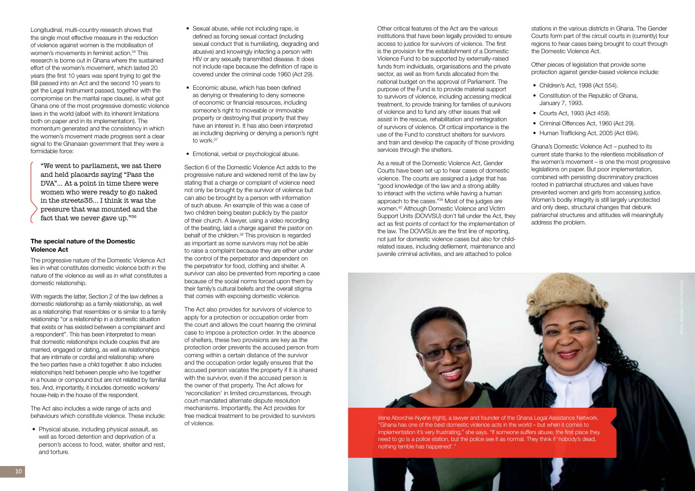



implementation it's very frustrating," she says. "If someone suffers abuse, the first place they need to go is a police station, but the police see it as normal. They think if 'nobody's dead, nothing terrible has happened'."

Other critical features of the Act are the various institutions that have been legally provided to ensure access to justice for survivors of violence. The first is the provision for the establishment of a Domestic Violence Fund to be supported by externally-raised funds from individuals, organisations and the private sector, as well as from funds allocated from the national budget on the approval of Parliament. The purpose of the Fund is to provide material support to survivors of violence, including accessing medical treatment, to provide training for families of survivors of violence and to fund any other issues that will assist in the rescue, rehabilitation and reintegration of survivors of violence. Of critical importance is the use of the Fund to construct shelters for survivors and train and develop the capacity of those providing services through the shelters.

As a result of the Domestic Violence Act, Gender Courts have been set up to hear cases of domestic violence. The courts are assigned a judge that has "good knowledge of the law and a strong ability to interact with the victims while having a human approach to the cases."39 Most of the judges are women.40 Although Domestic Violence and Victim Support Units (DOVVSU) don't fall under the Act, they act as first points of contact for the implementation of the law. The DOVVSUs are the first line of reporting, not just for domestic violence cases but also for childrelated issues, including defilement, maintenance and juvenile criminal activities, and are attached to police

"We went to parliament, we sat there and held placards saying "Pass the DVA"… At a point in time there were women who were ready to go naked in the streets35… I think it was the pressure that was mounted and the fact that we never gave up."36

stations in the various districts in Ghana. The Gender Courts form part of the circuit courts in (currently) four regions to hear cases being brought to court through the Domestic Violence Act.

Other pieces of legislation that provide some protection against gender-based violence include:

- Children's Act, 1998 (Act 554).
- Constitution of the Republic of Ghana, January 7, 1993.
- Courts Act, 1993 (Act 459).
- Criminal Offences Act, 1960 (Act 29).
- Human Trafficking Act, 2005 (Act 694).

Ghana's Domestic Violence Act – pushed to its current state thanks to the relentless mobilisation of the women's movement – is one the most progressive legislations on paper. But poor implementation, combined with persisting discriminatory practices rooted in patriarchal structures and values have prevented women and girls from accessing justice. Women's bodily integrity is still largely unprotected and only deep, structural changes that debunk patriarchal structures and attitudes will meaningfully address the problem.

- Sexual abuse, while not including rape, is defined as forcing sexual contact (including sexual conduct that is humiliating, degrading and abusive) and knowingly infecting a person with HIV or any sexually transmitted disease. It does not include rape because the definition of rape is covered under the criminal code 1960 (Act 29).
- Economic abuse, which has been defined as denying or threatening to deny someone of economic or financial resources, including someone's right to moveable or immovable property or destroying that property that they have an interest in. It has also been interpreted as including depriving or denying a person's right to work.<sup>37</sup>
- Emotional, verbal or psychological abuse.

Longitudinal, multi-country research shows that the single most effective measure in the reduction of violence against women is the mobilisation of women's movements in feminist action.<sup>34</sup> This research is borne out in Ghana where the sustained effort of the women's movement, which lasted 20 years (the first 10 years was spent trying to get the Bill passed into an Act and the second 10 years to get the Legal Instrument passed, together with the compromise on the marital rape clause), is what got Ghana one of the most progressive domestic violence laws in the world (albeit with its inherent limitations both on paper and in its implementation). The momentum generated and the consistency in which the women's movement made progress sent a clear signal to the Ghanaian government that they were a formidable force:

#### **The special nature of the Domestic Violence Act**

The progressive nature of the Domestic Violence Act lies in what constitutes domestic violence both in the nature of the violence as well as in what constitutes a domestic relationship.

With regards the latter, Section 2 of the law defines a domestic relationship as a family relationship, as well as a relationship that resembles or is similar to a family relationship "or a relationship in a domestic situation that exists or has existed between a complainant and a respondent". This has been interpreted to mean that domestic relationships include couples that are married, engaged or dating, as well as relationships that are intimate or cordial and relationship where the two parties have a child together. It also includes relationships held between people who live together in a house or compound but are not related by familial ties. And, importantly, it includes domestic workers/ house-help in the house of the respondent.

The Act also includes a wide range of acts and behaviours which constitute violence. These include:

• Physical abuse, including physical assault, as well as forced detention and deprivation of a person's access to food, water, shelter and rest, and torture.

Section 6 of the Domestic Violence Act adds to the progressive nature and widened remit of the law by stating that a charge or complaint of violence need not only be brought by the survivor of violence but can also be brought by a person with information of such abuse. An example of this was a case of two children being beaten publicly by the pastor of their church. A lawyer, using a video recording of the beating, laid a charge against the pastor on behalf of the children.<sup>38</sup> This provision is regarded as important as some survivors may not be able to raise a complaint because they are either under the control of the perpetrator and dependent on the perpetrator for food, clothing and shelter. A survivor can also be prevented from reporting a case because of the social norms forced upon them by their family's cultural beliefs and the overall stigma that comes with exposing domestic violence.

The Act also provides for survivors of violence to apply for a protection or occupation order from the court and allows the court hearing the criminal case to impose a protection order. In the absence of shelters, these two provisions are key as the protection order prevents the accused person from coming within a certain distance of the survivor and the occupation order legally ensures that the accused person vacates the property if it is shared with the survivor, even if the accused person is the owner of that property. The Act allows for 'reconciliation' in limited circumstances, through court-mandated alternate dispute resolution mechanisms. Importantly, the Act provides for free medical treatment to be provided to survivors of violence.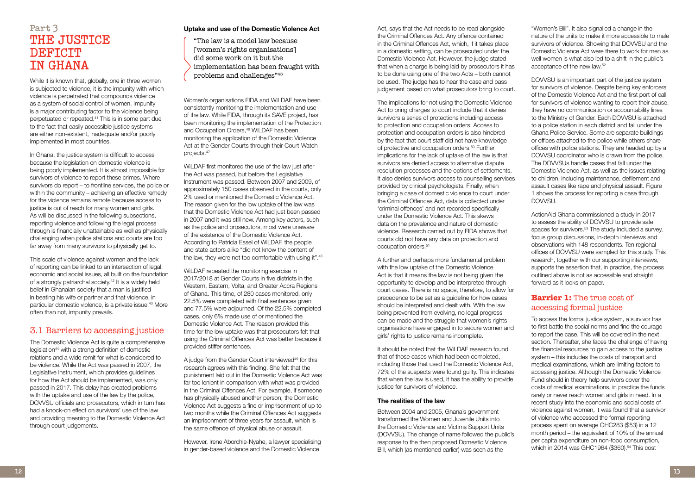Act, says that the Act needs to be read alongside the Criminal Offences Act. Any offence contained in the Criminal Offences Act, which, if it takes place in a domestic setting, can be prosecuted under the Domestic Violence Act. However, the judge stated that when a charge is being laid by prosecutors it has to be done using one of the two Acts – both cannot be used. The judge has to hear the case and pass judgement based on what prosecutors bring to court.

The implications for not using the Domestic Violence Act to bring charges to court include that it denies survivors a series of protections including access to protection and occupation orders. Access to protection and occupation orders is also hindered by the fact that court staff did not have knowledge of protective and occupation orders.<sup>50</sup> Further implications for the lack of uptake of the law is that survivors are denied access to alternative dispute resolution processes and the options of settlements. It also denies survivors access to counselling services provided by clinical psychologists. Finally, when bringing a case of domestic violence to court under the Criminal Offences Act, data is collected under 'criminal offences' and not recorded specifically under the Domestic Violence Act. This skews data on the prevalence and nature of domestic violence. Research carried out by FIDA shows that courts did not have any data on protection and occupation orders.51

A further and perhaps more fundamental problem with the low uptake of the Domestic Violence Act is that it means the law is not being given the opportunity to develop and be interpreted through court cases. There is no space, therefore, to allow for precedence to be set as a guideline for how cases should be interpreted and dealt with. With the law being prevented from evolving, no legal progress can be made and the struggle that women's rights organisations have engaged in to secure women and girls' rights to justice remains incomplete.

To access the formal justice system, a survivor has to first battle the social norms and find the courage to report the case. This will be covered in the next section. Thereafter, she faces the challenge of having the financial resources to gain access to the justice system – this includes the costs of transport and medical examinations, which are limiting factors to accessing justice. Although the Domestic Violence Fund should in theory help survivors cover the costs of medical examinations, in practice the funds rarely or never reach women and girls in need. In a recent study into the economic and social costs of violence against women, it was found that a survivor of violence who accessed the formal reporting process spent on average GHC283 (\$53) in a 12 month period – the equivalent of 10% of the annual per capita expenditure on non-food consumption, which in 2014 was GHC1964 (\$360).<sup>54</sup> This cost

It should be noted that the WiLDAF research found that of those cases which had been completed, including those that used the Domestic Violence Act, 72% of the suspects were found guilty. This indicates that when the law is used, it has the ability to provide justice for survivors of violence.

#### **The realities of the law**

Between 2004 and 2005, Ghana's government transformed the Women and Juvenile Units into the Domestic Violence and Victims Support Units (DOVVSU). The change of name followed the public's response to the then proposed Domestic Violence Bill, which (as mentioned earlier) was seen as the

"Women's Bill". It also signalled a change in the nature of the units to make it more accessible to male survivors of violence. Showing that DOVVSU and the Domestic Violence Act were there to work for men as well women is what also led to a shift in the public's acceptance of the new law.52

DOVVSU is an important part of the justice system for survivors of violence. Despite being key enforcers of the Domestic Violence Act and the first port of call for survivors of violence wanting to report their abuse, they have no communication or accountability lines to the Ministry of Gender. Each DOVVSU is attached to a police station in each district and fall under the Ghana Police Service. Some are separate buildings or offices attached to the police while others share offices with police stations. They are headed up by a DOVVSU coordinator who is drawn from the police. The DOVVSUs handle cases that fall under the Domestic Violence Act, as well as the issues relating to children, including maintenance, defilement and assault cases like rape and physical assault. Figure 1 shows the process for reporting a case through DOVVSU.

ActionAid Ghana commissioned a study in 2017 to assess the ability of DOVVSU to provide safe spaces for survivors.<sup>53</sup> The study included a survey, focus group discussions, in-depth interviews and observations with 148 respondents. Ten regional offices of DOVVSU were sampled for this study. This research, together with our supporting interviews, supports the assertion that, in practice, the process outlined above is not as accessible and straight forward as it looks on paper.

#### **Barrier 1:** The true cost of accessing formal justice

A judge from the Gender Court interviewed<sup>49</sup> for this research agrees with this finding. She felt that the punishment laid out in the Domestic Violence Act was far too lenient in comparison with what was provided in the Criminal Offences Act. For example, if someone has physically abused another person, the Domestic Violence Act suggests a fine or imprisonment of up to two months while the Criminal Offences Act suggests an imprisonment of three years for assault, which is the same offence of physical abuse or assault.

# **Part 3 THE JUSTICE DEFICIT IN GHANA**

While it is known that, globally, one in three women is subjected to violence, it is the impunity with which violence is perpetrated that compounds violence as a system of social control of women. Impunity is a major contributing factor to the violence being perpetuated or repeated.41 This is in some part due to the fact that easily accessible justice systems are either non-existent, inadequate and/or poorly implemented in most countries.

In Ghana, the justice system is difficult to access because the legislation on domestic violence is being poorly implemented. It is almost impossible for survivors of violence to report these crimes. Where survivors do report – to frontline services, the police or within the community – achieving an effective remedy for the violence remains remote because access to justice is out of reach for many women and girls. As will be discussed in the following subsections, reporting violence and following the legal process through is financially unattainable as well as physically challenging when police stations and courts are too far away from many survivors to physically get to.

This scale of violence against women and the lack of reporting can be linked to an intersection of legal, economic and social issues, all built on the foundation of a strongly patriarchal society.42 It is a widely held belief in Ghanaian society that a man is justified in beating his wife or partner and that violence, in particular domestic violence, is a private issue.43 More often than not, impunity prevails.

#### 3.1 Barriers to accessing justice

The Domestic Violence Act is quite a comprehensive legislation<sup>44</sup> with a strong definition of domestic relations and a wide remit for what is considered to be violence. While the Act was passed in 2007, the Legislative Instrument, which provides guidelines for how the Act should be implemented, was only passed in 2017. This delay has created problems with the uptake and use of the law by the police, DOVVSU officials and prosecutors, which in turn has had a knock-on effect on survivors' use of the law and providing meaning to the Domestic Violence Act through court judgements.

#### **Uptake and use of the Domestic Violence Act**

"The law is a model law because [women's rights organisations] did some work on it but the implementation has been fraught with problems and challenges"45

Women's organisations FIDA and WiLDAF have been consistently monitoring the implementation and use of the law. While FIDA, through its SAVE project, has been monitoring the implementation of the Protection and Occupation Orders.<sup>46</sup> WiLDAF has been monitoring the application of the Domestic Violence Act at the Gender Courts through their Court-Watch projects.47

WiLDAF first monitored the use of the law just after the Act was passed, but before the Legislative Instrument was passed. Between 2007 and 2009, of approximately 150 cases observed in the courts, only 2% used or mentioned the Domestic Violence Act. The reason given for the low uptake of the law was that the Domestic Violence Act had just been passed in 2007 and it was still new. Among key actors, such as the police and prosecutors, most were unaware of the existence of the Domestic Violence Act. According to Patricia Essel of WiLDAF, the people and state actors alike "did not know the content of the law, they were not too comfortable with using it".48

WiLDAF repeated the monitoring exercise in 2017/2018 at Gender Courts in five districts in the Western, Eastern, Volta, and Greater Accra Regions of Ghana. This time, of 280 cases monitored, only 22.5% were completed with final sentences given and 77.5% were adjourned. Of the 22.5% completed cases, only 6% made use of or mentioned the Domestic Violence Act. The reason provided this time for the low uptake was that prosecutors felt that using the Criminal Offences Act was better because it provided stiffer sentences.

However, Irene Aborchie-Nyahe, a lawyer specialising in gender-based violence and the Domestic Violence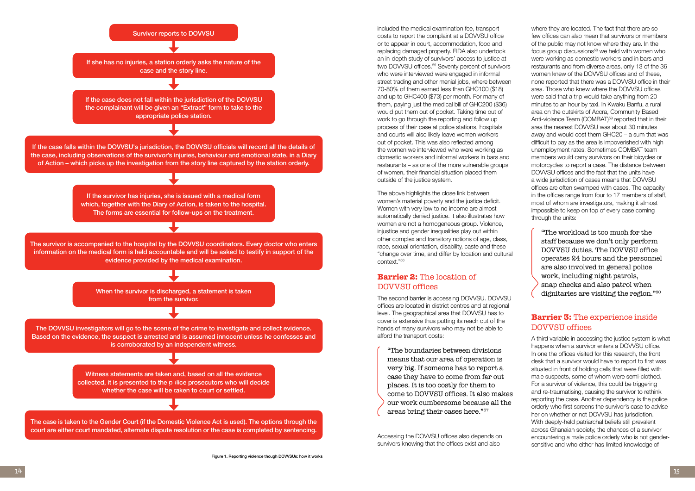included the medical examination fee, transport costs to report the complaint at a DOVVSU office or to appear in court, accommodation, food and replacing damaged property. FIDA also undertook an in-depth study of survivors' access to justice at two DOWSU offices.<sup>55</sup> Seventy percent of survivors who were interviewed were engaged in informal street trading and other menial jobs, where between 70-80% of them earned less than GHC100 (\$18) and up to GHC400 (\$73) per month. For many of them, paying just the medical bill of GHC200 (\$36) would put them out of pocket. Taking time out of work to go through the reporting and follow up process of their case at police stations, hospitals and courts will also likely leave women workers out of pocket. This was also reflected among the women we interviewed who were working as domestic workers and informal workers in bars and restaurants – as one of the more vulnerable groups of women, their financial situation placed them outside of the justice system.

The above highlights the close link between women's material poverty and the justice deficit. Women with very low to no income are almost automatically denied justice. It also illustrates how women are not a homogeneous group. Violence, injustice and gender inequalities play out within other complex and transitory notions of age, class, race, sexual orientation, disability, caste and these "change over time, and differ by location and cultural context."56

#### **Barrier 2:** The location of DOVVSU offices

The second barrier is accessing DOVVSU. DOVVSU offices are located in district centres and at regional level. The geographical area that DOVVSU has to cover is extensive thus putting its reach out of the hands of many survivors who may not be able to afford the transport costs:

"The boundaries between divisions means that our area of operation is very big. If someone has to report a case they have to come from far out places. It is too costly for them to come to DOVVSU offices. It also makes our work cumbersome because all the areas bring their cases here."57

Accessing the DOVVSU offices also depends on survivors knowing that the offices exist and also

where they are located. The fact that there are so few offices can also mean that survivors or members of the public may not know where they are. In the focus group discussions<sup>58</sup> we held with women who were working as domestic workers and in bars and restaurants and from diverse areas, only 13 of the 36 women knew of the DOVVSU offices and of these, none reported that there was a DOVVSU office in their area. Those who knew where the DOVVSU offices were said that a trip would take anything from 20 minutes to an hour by taxi. In Kwaku Banfu, a rural area on the outskirts of Accra, Community Based Anti-violence Team (COMBAT)<sup>59</sup> reported that in their area the nearest DOVVSU was about 30 minutes away and would cost them GHC20 – a sum that was difficult to pay as the area is impoverished with high unemployment rates. Sometimes COMBAT team members would carry survivors on their bicycles or motorcycles to report a case. The distance between DOVVSU offices and the fact that the units have a wide jurisdiction of cases means that DOVVSU offices are often swamped with cases. The capacity in the offices range from four to 17 members of staff, most of whom are investigators, making it almost impossible to keep on top of every case coming through the units:

"The workload is too much for the staff because we don't only perform DOVVSU duties. The DOVVSU office operates 24 hours and the personnel are also involved in general police work, including night patrols, snap checks and also patrol when dignitaries are visiting the region."60

#### **Barrier 3:** The experience inside DOVVSU offices

A third variable in accessing the justice system is what happens when a survivor enters a DOVVSU office. In one the offices visited for this research, the front desk that a survivor would have to report to first was situated in front of holding cells that were filled with male suspects, some of whom were semi-clothed. For a survivor of violence, this could be triggering and re-traumatising, causing the survivor to rethink reporting the case. Another dependency is the police orderly who first screens the survivor's case to advise her on whether or not DOVVSU has jurisdiction. With deeply-held patriarchal beliefs still prevalent across Ghanaian society, the chances of a survivor encountering a male police orderly who is not gendersensitive and who either has limited knowledge of

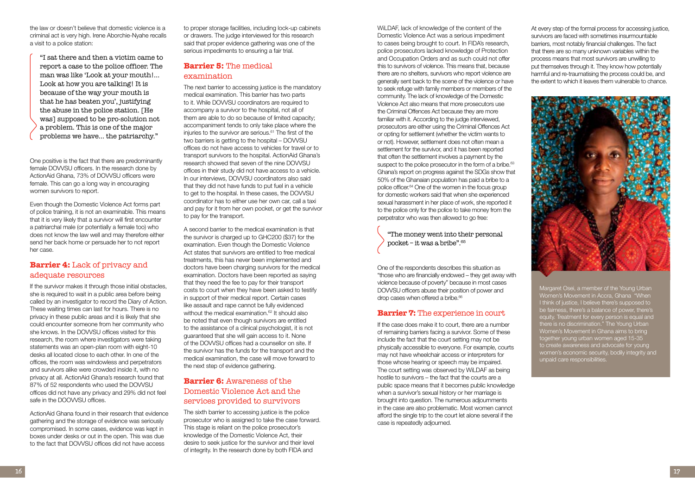WiLDAF, lack of knowledge of the content of the Domestic Violence Act was a serious impediment to cases being brought to court. In FIDA's research, police prosecutors lacked knowledge of Protection and Occupation Orders and as such could not offer this to survivors of violence. This means that, because there are no shelters, survivors who report violence are generally sent back to the scene of the violence or have to seek refuge with family members or members of the community. The lack of knowledge of the Domestic Violence Act also means that more prosecutors use the Criminal Offences Act because they are more familiar with it. According to the judge interviewed, prosecutors are either using the Criminal Offences Act or opting for settlement (whether the victim wants to or not). However, settlement does not often mean a settlement for the survivor, and it has been reported that often the settlement involves a payment by the suspect to the police prosecutor in the form of a bribe. $63$ Ghana's report on progress against the SDGs show that 50% of the Ghanaian population has paid a bribe to a police officer.<sup>64</sup> One of the women in the focus group for domestic workers said that when she experienced sexual harassment in her place of work, she reported it to the police only for the police to take money from the perpetrator who was then allowed to go free:

One of the respondents describes this situation as "those who are financially endowed – they get away with violence because of poverty" because in most cases DOVVSU officers abuse their position of power and drop cases when offered a bribe.<sup>66</sup>

#### **Barrier 7:** The experience in court

"The money went into their personal pocket – it was a bribe".<sup>65</sup>

If the case does make it to court, there are a number of remaining barriers facing a survivor. Some of these include the fact that the court setting may not be physically accessible to everyone. For example, courts may not have wheelchair access or interpreters for those whose hearing or speech may be impaired. The court setting was observed by WiLDAF as being hostile to survivors – the fact that the courts are a public space means that it becomes public knowledge when a survivor's sexual history or her marriage is brought into question. The numerous adjournments in the case are also problematic. Most women cannot afford the single trip to the court let alone several if the case is repeatedly adjourned.

At every step of the formal process for accessing justice, survivors are faced with sometimes insurmountable barriers, most notably financial challenges. The fact that there are so many unknown variables within the process means that most survivors are unwilling to put themselves through it. They know how potentially harmful and re-traumatising the process could be, and the extent to which it leaves them vulnerable to chance.

Margaret Osei, a member of the Young Urban Women's Movement in Accra, Ghana "When I think of justice, I believe there's supposed to be fairness, there's a balance of power, there's equity. Treatment for every person is equal and there is no discrimination." The Young Urban Women's Movement in Ghana aims to bring together young urban women aged 15-35 to create awareness and advocate for young women's economic security, bodily integrity and unpaid care responsibilities.

the law or doesn't believe that domestic violence is a criminal act is very high. Irene Aborchie-Nyahe recalls a visit to a police station:

"I sat there and then a victim came to report a case to the police officer. The man was like 'Look at your mouth!… Look at how you are talking! It is because of the way your mouth is that he has beaten you', justifying the abuse in the police station. [He was] supposed to be pro-solution not a problem. This is one of the major problems we have… the patriarchy."

One positive is the fact that there are predominantly female DOVVSU officers. In the research done by ActionAid Ghana, 73% of DOVVSU officers were female. This can go a long way in encouraging women survivors to report.

Even though the Domestic Violence Act forms part of police training, it is not an examinable. This means that it is very likely that a survivor will first encounter a patriarchal male (or potentially a female too) who does not know the law well and may therefore either send her back home or persuade her to not report her case.

#### **Barrier 4:** Lack of privacy and adequate resources

If the survivor makes it through those initial obstacles, she is required to wait in a public area before being called by an investigator to record the Diary of Action. These waiting times can last for hours. There is no privacy in these public areas and it is likely that she could encounter someone from her community who she knows. In the DOVVSU offices visited for this research, the room where investigators were taking statements was an open-plan room with eight-10 desks all located close to each other. In one of the offices, the room was windowless and perpetrators and survivors alike were crowded inside it, with no privacy at all. ActionAid Ghana's research found that 87% of 52 respondents who used the DOVVSU offices did not have any privacy and 29% did not feel safe in the DOOWSU offices

ActionAid Ghana found in their research that evidence gathering and the storage of evidence was seriously compromised. In some cases, evidence was kept in boxes under desks or out in the open. This was due to the fact that DOVVSU offices did not have access

to proper storage facilities, including lock-up cabinets or drawers. The judge interviewed for this research said that proper evidence gathering was one of the serious impediments to ensuring a fair trial.

## **Barrier 5:** The medical examination

The next barrier to accessing justice is the mandatory medical examination. This barrier has two parts to it. While DOVVSU coordinators are required to accompany a survivor to the hospital, not all of them are able to do so because of limited capacity; accompaniment tends to only take place where the injuries to the survivor are serious.<sup>61</sup> The first of the two barriers is getting to the hospital – DOVVSU offices do not have access to vehicles for travel or to transport survivors to the hospital. ActionAid Ghana's research showed that seven of the nine DOVVSU offices in their study did not have access to a vehicle. In our interviews, DOVVSU coordinators also said that they did not have funds to put fuel in a vehicle to get to the hospital. In these cases, the DOVVSU coordinator has to either use her own car, call a taxi and pay for it from her own pocket, or get the survivor to pay for the transport.

A second barrier to the medical examination is that the survivor is charged up to GHC200 (\$37) for the examination. Even though the Domestic Violence Act states that survivors are entitled to free medical treatments, this has never been implemented and doctors have been charging survivors for the medical examination. Doctors have been reported as saying that they need the fee to pay for their transport costs to court when they have been asked to testify in support of their medical report. Certain cases like assault and rape cannot be fully evidenced without the medical examination.<sup>62</sup> It should also be noted that even though survivors are entitled to the assistance of a clinical psychologist, it is not guaranteed that she will gain access to it. None of the DOVVSU offices had a counsellor on site. If the survivor has the funds for the transport and the medical examination, the case will move forward to the next step of evidence gathering.

## **Barrier 6:** Awareness of the Domestic Violence Act and the services provided to survivors

The sixth barrier to accessing justice is the police prosecutor who is assigned to take the case forward. This stage is reliant on the police prosecutor's knowledge of the Domestic Violence Act, their desire to seek justice for the survivor and their level of integrity. In the research done by both FIDA and

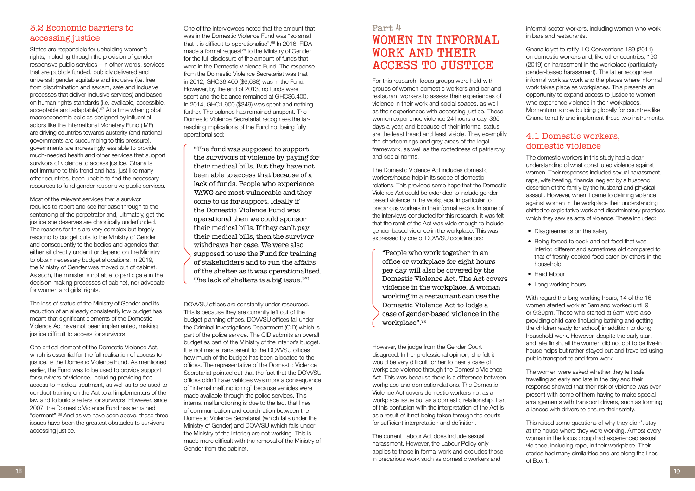# **Part 4 WOMEN IN INFORMAL WORK AND THEIR ACCESS TO JUSTICE**

For this research, focus groups were held with groups of women domestic workers and bar and restaurant workers to assess their experiences of violence in their work and social spaces, as well as their experiences with accessing justice. These women experience violence 24 hours a day, 365 days a year, and because of their informal status are the least heard and least visible. They exemplify the shortcomings and grey areas of the legal framework, as well as the rootedness of patriarchy and social norms.

The Domestic Violence Act includes domestic workers/house-help in its scope of domestic relations. This provided some hope that the Domestic Violence Act could be extended to include genderbased violence in the workplace, in particular to precarious workers in the informal sector. In some of the interviews conducted for this research, it was felt that the remit of the Act was wide enough to include gender-based violence in the workplace. This was expressed by one of DOVVSU coordinators:

"People who work together in an office or workplace for eight hours per day will also be covered by the Domestic Violence Act. The Act covers violence in the workplace. A woman working in a restaurant can use the Domestic Violence Act to lodge a case of gender-based violence in the workplace".<sup>72</sup>

However, the judge from the Gender Court disagreed. In her professional opinion, she felt it would be very difficult for her to hear a case of workplace violence through the Domestic Violence Act. This was because there is a difference between workplace and domestic relations. The Domestic Violence Act covers domestic workers not as a workplace issue but as a domestic relationship. Part of this confusion with the interpretation of the Act is as a result of it not being taken through the courts for sufficient interpretation and definition.

The current Labour Act does include sexual harassment. However, the Labour Policy only applies to those in formal work and excludes those in precarious work such as domestic workers and

informal sector workers, including women who work in bars and restaurants.

Ghana is yet to ratify ILO Conventions 189 (2011) on domestic workers and, like other countries, 190 (2019) on harassment in the workplace (particularly gender-based harassment). The latter recognises informal work as work and the places where informal work takes place as workplaces. This presents an opportunity to expand access to justice to women who experience violence in their workplaces. Momentum is now building globally for countries like Ghana to ratify and implement these two instruments.

#### 4.1 Domestic workers, domestic violence

The domestic workers in this study had a clear understanding of what constituted violence against women. Their responses included sexual harassment, rape, wife beating, financial neglect by a husband, desertion of the family by the husband and physical assault. However, when it came to defining violence against women in the workplace their understanding shifted to exploitative work and discriminatory practices which they saw as acts of violence. These included:

- Disagreements on the salary
- Being forced to cook and eat food that was inferior, different and sometimes old compared to that of freshly-cooked food eaten by others in the household
- Hard labour
- Long working hours

With regard the long working hours, 14 of the 16 women started work at 6am and worked until 9 or 9:30pm. Those who started at 6am were also providing child care (including bathing and getting the children ready for school) in addition to doing household work. However, despite the early start and late finish, all the women did not opt to be live-in house helps but rather stayed out and travelled using public transport to and from work.

"The fund was supposed to support the survivors of violence by paying for their medical bills. But they have not been able to access that because of a lack of funds. People who experience VAWG are most vulnerable and they come to us for support. Ideally if the Domestic Violence Fund was operational then we could sponsor their medical bills. If they can't pay their medical bills, then the survivor withdraws her case. We were also supposed to use the Fund for training of stakeholders and to run the affairs of the shelter as it was operationalised. The lack of shelters is a big issue."<sup>71</sup>

> The women were asked whether they felt safe travelling so early and late in the day and their response showed that their risk of violence was everpresent with some of them having to make special arrangements with transport drivers, such as forming alliances with drivers to ensure their safety.

This raised some questions of why they didn't stay at the house where they were working. Almost every woman in the focus group had experienced sexual violence, including rape, in their workplace. Their stories had many similarities and are along the lines of Box 1.

## 3.2 Economic barriers to accessing justice

States are responsible for upholding women's rights, including through the provision of genderresponsive public services – in other words, services that are publicly funded, publicly delivered and universal; gender equitable and inclusive (i.e. free from discrimination and sexism, safe and inclusive processes that deliver inclusive services) and based on human rights standards (i.e. available, accessible, acceptable and adaptable).<sup>67</sup> At a time when global macroeconomic policies designed by influential actors like the International Monetary Fund (IMF) are driving countries towards austerity (and national governments are succumbing to this pressure), governments are increasingly less able to provide much-needed health and other services that support survivors of violence to access justice. Ghana is not immune to this trend and has, just like many other countries, been unable to find the necessary resources to fund gender-responsive public services.

Most of the relevant services that a survivor requires to report and see her case through to the sentencing of the perpetrator and, ultimately, get the justice she deserves are chronically underfunded. The reasons for this are very complex but largely respond to budget cuts to the Ministry of Gender and consequently to the bodies and agencies that either sit directly under it or depend on the Ministry to obtain necessary budget allocations. In 2019, the Ministry of Gender was moved out of cabinet. As such, the minister is not able to participate in the decision-making processes of cabinet, nor advocate for women and girls' rights.

The loss of status of the Ministry of Gender and its reduction of an already consistently low budget has meant that significant elements of the Domestic Violence Act have not been implemented, making justice difficult to access for survivors.

One critical element of the Domestic Violence Act, which is essential for the full realisation of access to justice, is the Domestic Violence Fund. As mentioned earlier, the Fund was to be used to provide support for survivors of violence, including providing free access to medical treatment, as well as to be used to conduct training on the Act to all implementers of the law and to build shelters for survivors. However, since 2007, the Domestic Violence Fund has remained "dormant".68 And as we have seen above, these three issues have been the greatest obstacles to survivors accessing justice.

One of the interviewees noted that the amount that was in the Domestic Violence Fund was "so small that it is difficult to operationalise".<sup>69</sup> In 2016, FIDA made a formal request<sup>70</sup> to the Ministry of Gender for the full disclosure of the amount of funds that were in the Domestic Violence Fund. The response from the Domestic Violence Secretariat was that in 2012, GHC36,400 (\$6,688) was in the Fund. However, by the end of 2013, no funds were spent and the balance remained at GHC36,400. In 2014, GHC1,900 (\$349) was spent and nothing further. The balance has remained unspent. The Domestic Violence Secretariat recognises the farreaching implications of the Fund not being fully operationalised:

DOVVSU offices are constantly under-resourced. This is because they are currently left out of the budget planning offices. DOVVSU offices fall under the Criminal Investigations Department (CID) which is part of the police service. The CID submits an overall budget as part of the Ministry of the Interior's budget. It is not made transparent to the DOWSU offices how much of the budget has been allocated to the offices. The representative of the Domestic Violence Secretariat pointed out that the fact that the DOWSU offices didn't have vehicles was more a consequence of "internal malfunctioning" because vehicles were made available through the police services. This internal malfunctioning is due to the fact that lines of communication and coordination between the Domestic Violence Secretariat (which falls under the Ministry of Gender) and DOVVSU (which falls under the Ministry of the Interior) are not working. This is made more difficult with the removal of the Ministry of Gender from the cabinet.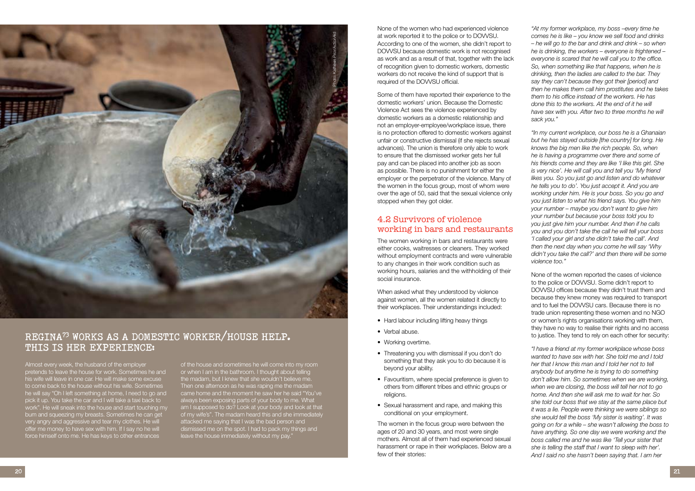None of the women who had experienced violence at work reported it to the police or to DOVVSU. According to one of the women, she didn't report to DOVVSU because domestic work is not recognised as work and as a result of that, together with the lack of recognition given to domestic workers, domestic workers do not receive the kind of support that is required of the DOVVSU official.

Some of them have reported their experience to the domestic workers' union. Because the Domestic Violence Act sees the violence experienced by domestic workers as a domestic relationship and not an employer-employee/workplace issue, there is no protection offered to domestic workers against unfair or constructive dismissal (if she rejects sexual advances). The union is therefore only able to work to ensure that the dismissed worker gets her full pay and can be placed into another job as soon as possible. There is no punishment for either the employer or the perpetrator of the violence. Many of the women in the focus group, most of whom were over the age of 50, said that the sexual violence only stopped when they got older.

- Hard labour including lifting heavy things
- Verbal abuse.
- Working overtime.
- Threatening you with dismissal if you don't do something that they ask you to do because it is beyond your ability.
- Favouritism, where special preference is given to others from different tribes and ethnic groups or religions.
- Sexual harassment and rape, and making this conditional on your employment.

#### 4.2 Survivors of violence working in bars and restaurants

The women working in bars and restaurants were either cooks, waitresses or cleaners. They worked without employment contracts and were vulnerable to any changes in their work condition such as working hours, salaries and the withholding of their social insurance.

When asked what they understood by violence against women, all the women related it directly to their workplaces. Their understandings included:

The women in the focus group were between the ages of 20 and 30 years, and most were single mothers. Almost all of them had experienced sexual harassment or rape in their workplaces. Below are a few of their stories:

*"At my former workplace, my boss –every time he comes he is like – you know we sell food and drinks – he will go to the bar and drink and drink – so when he is drinking, the workers – everyone is frightened – everyone is scared that he will call you to the office. So, when something like that happens, when he is drinking, then the ladies are called to the bar. They say they can't because they got their [period] and then he makes them call him prostitutes and he takes them to his office instead of the workers. He has done this to the workers. At the end of it he will have sex with you. After two to three months he will sack you."*

*"In my current workplace, our boss he is a Ghanaian but he has stayed outside [the country] for long. He knows the big men like the rich people. So, when he is having a programme over there and some of his friends come and they are like 'I like this girl. She is very nice'. He will call you and tell you 'My friend likes you. So you just go and listen and do whatever he tells you to do'. You just accept it. And you are working under him. He is your boss. So you go and you just listen to what his friend says. You give him your number – maybe you don't want to give him your number but because your boss told you to you just give him your number. And then if he calls you and you don't take the call he will tell your boss 'I called your girl and she didn't take the call'. And then the next day when you come he will say 'Why didn't you take the call?' and then there will be some violence too."*

None of the women reported the cases of violence to the police or DOVVSU. Some didn't report to DOVVSU offices because they didn't trust them and because they knew money was required to transport and to fuel the DOVVSU cars. Because there is no trade union representing these women and no NGO or women's rights organisations working with them, they have no way to realise their rights and no access to justice. They tend to rely on each other for security:

*"I have a friend at my former workplace whose boss wanted to have sex with her. She told me and I told her that I know this man and I told her not to tell anybody but anytime he is trying to do something don't allow him. So sometimes when we are working, when we are closing, the boss will tell her not to go home. And then she will ask me to wait for her. So she told our boss that we stay at the same place but it was a lie. People were thinking we were siblings so she would tell the boss 'My sister is waiting'. It was going on for a while – she wasn't allowing the boss to have anything. So one day we were working and the boss called me and he was like 'Tell your sister that she is telling the staff that I want to sleep with her'. And I said no she hasn't been saying that. I am her* 

Almost every week, the husband of the employer pretends to leave the house for work. Sometimes he and .<br>his wife will leave in one car. He will make some excuse to come back to the house without his wife. Sometimes he will say "Oh I left something at home, I need to go and pick it up. You take the car and I will take a taxi back to work". He will sneak into the house and start touching my bum and squeezing my breasts. Sometimes he can get very angry and aggressive and tear my clothes. He will offer me money to have sex with him. If I say no he will force himself onto me. He has keys to other entrances



of the house and sometimes he will come into my room or when I am in the bathroom. I thought about telling the madam, but I knew that she wouldn't believe me. Then one afternoon as he was raping me the madam came home and the moment he saw her he said "You've always been exposing parts of your body to me. What am I supposed to do? Look at your body and look at that of my wife's". The madam heard this and she immediately attacked me saying that I was the bad person and dismissed me on the spot. I had to pack my things and leave the house immediately without my pay."

## **REGINA73 WORKS AS A DOMESTIC WORKER/HOUSE HELP. THIS IS HER EXPERIENCE:**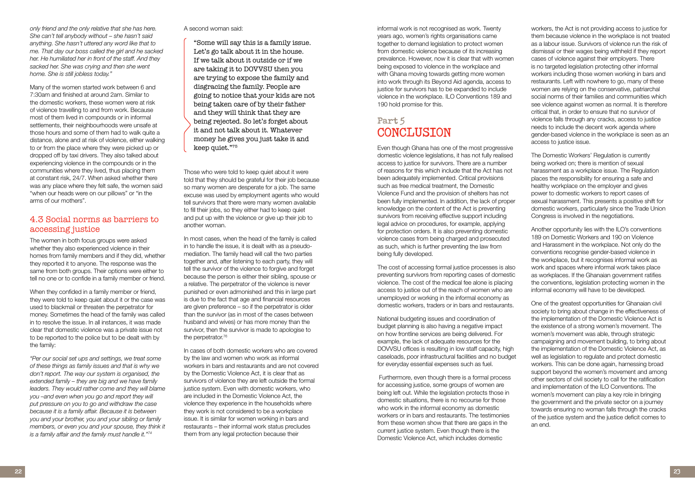*only friend and the only relative that she has here. She can't tell anybody without – she hasn't said anything. She hasn't uttered any word like that to me. That day our boss called the girl and he sacked her. He humiliated her in front of the staff. And they sacked her. She was crying and then she went home. She is still jobless today."*

Many of the women started work between 6 and 7:30am and finished at around 2am. Similar to the domestic workers, these women were at risk of violence travelling to and from work. Because most of them lived in compounds or in informal settlements, their neighbourhoods were unsafe at those hours and some of them had to walk quite a distance, alone and at risk of violence, either walking to or from the place where they were picked up or dropped off by taxi drivers. They also talked about experiencing violence in the compounds or in the communities where they lived, thus placing them at constant risk, 24/7. When asked whether there was any place where they felt safe, the women said "when our heads were on our pillows" or "in the arms of our mothers".

## 4.3 Social norms as barriers to accessing justice

The women in both focus groups were asked whether they also experienced violence in their homes from family members and if they did, whether they reported it to anyone. The response was the same from both groups. Their options were either to tell no one or to confide in a family member or friend.

When they confided in a family member or friend, they were told to keep quiet about it or the case was used to blackmail or threaten the perpetrator for money. Sometimes the head of the family was called in to resolve the issue. In all instances, it was made clear that domestic violence was a private issue not to be reported to the police but to be dealt with by the family:

*"Per our social set ups and settings, we treat some of these things as family issues and that is why we don't report. The way our system is organised, the extended family – they are big and we have family leaders. They would rather come and they will blame you –and even when you go and report they will put pressure on you to go and withdraw the case because it is a family affair. Because it is between you and your brother, you and your sibling or family members, or even you and your spouse, they think it is a family affair and the family must handle it."<sup>74</sup>*

informal work is not recognised as work. Twenty years ago, women's rights organisations came together to demand legislation to protect women from domestic violence because of its increasing prevalence. However, now it is clear that with women being exposed to violence in the workplace and with Ghana moving towards getting more women into work through its Beyond Aid agenda, access to justice for survivors has to be expanded to include violence in the workplace. ILO Conventions 189 and 190 hold promise for this.

# **Part 5 CONCLUSION**

Even though Ghana has one of the most progressive domestic violence legislations, it has not fully realised access to justice for survivors. There are a number of reasons for this which include that the Act has not been adequately implemented. Critical provisions such as free medical treatment, the Domestic Violence Fund and the provision of shelters has not been fully implemented. In addition, the lack of proper knowledge on the content of the Act is preventing survivors from receiving effective support including legal advice on procedures, for example, applying for protection orders. It is also preventing domestic violence cases from being charged and prosecuted as such, which is further preventing the law from being fully developed.

The cost of accessing formal justice processes is also preventing survivors from reporting cases of domestic violence. The cost of the medical fee alone is placing access to justice out of the reach of women who are unemployed or working in the informal economy as domestic workers, traders or in bars and restaurants.

In most cases, when the head of the family is called in to handle the issue, it is dealt with as a pseudomediation. The family head will call the two parties together and, after listening to each party, they will tell the survivor of the violence to forgive and forget because the person is either their sibling, spouse or a relative. The perpetrator of the violence is never punished or even admonished and this in large part is due to the fact that age and financial resources are given preference – so if the perpetrator is older than the survivor (as in most of the cases between husband and wives) or has more money than the survivor, then the survivor is made to apologise to the perpetrator.<sup>76</sup>

National budgeting issues and coordination of budget planning is also having a negative impact on how frontline services are being delivered. For example, the lack of adequate resources for the DOVVSU offices is resulting in low staff capacity, high caseloads, poor infrastructural facilities and no budget for everyday essential expenses such as fuel.

 Furthermore, even though there is a formal process for accessing justice, some groups of women are being left out. While the legislation protects those in domestic situations, there is no recourse for those who work in the informal economy as domestic workers or in bars and restaurants. The testimonies from these women show that there are gaps in the current justice system. Even though there is the Domestic Violence Act, which includes domestic

workers, the Act is not providing access to justice for them because violence in the workplace is not treated as a labour issue. Survivors of violence run the risk of dismissal or their wages being withheld if they report cases of violence against their employers. There is no targeted legislation protecting other informal workers including those women working in bars and restaurants. Left with nowhere to go, many of these women are relying on the conservative, patriarchal social norms of their families and communities which see violence against women as normal. It is therefore critical that, in order to ensure that no survivor of violence falls through any cracks, access to justice needs to include the decent work agenda where gender-based violence in the workplace is seen as an access to justice issue.

The Domestic Workers' Regulation is currently being worked on; there is mention of sexual harassment as a workplace issue. The Regulation places the responsibility for ensuring a safe and healthy workplace on the employer and gives power to domestic workers to report cases of sexual harassment. This presents a positive shift for domestic workers, particularly since the Trade Union Congress is involved in the negotiations.

Another opportunity lies with the ILO's conventions 189 on Domestic Workers and 190 on Violence and Harassment in the workplace. Not only do the conventions recognise gender-based violence in the workplace, but it recognises informal work as work and spaces where informal work takes place as workplaces. If the Ghanaian government ratifies the conventions, legislation protecting women in the informal economy will have to be developed.

One of the greatest opportunities for Ghanaian civil society to bring about change in the effectiveness of the implementation of the Domestic Violence Act is the existence of a strong women's movement. The women's movement was able, through strategic campaigning and movement building, to bring about the implementation of the Domestic Violence Act, as well as legislation to regulate and protect domestic workers. This can be done again, harnessing broad support beyond the women's movement and among other sectors of civil society to call for the ratification and implementation of the ILO Conventions. The women's movement can play a key role in bringing the government and the private sector on a journey towards ensuring no woman falls through the cracks of the justice system and the justice deficit comes to an end.

A second woman said:

"Some will say this is a family issue. Let's go talk about it in the house. If we talk about it outside or if we are taking it to DOVVSU then you are trying to expose the family and disgracing the family. People are going to notice that your kids are not being taken care of by their father and they will think that they are being rejected. So let's forget about it and not talk about it. Whatever money he gives you just take it and keep quiet."<sup>75</sup>

Those who were told to keep quiet about it were told that they should be grateful for their job because so many women are desperate for a job. The same excuse was used by employment agents who would tell survivors that there were many women available to fill their jobs, so they either had to keep quiet and put up with the violence or give up their job to another woman.

In cases of both domestic workers who are covered by the law and women who work as informal workers in bars and restaurants and are not covered by the Domestic Violence Act, it is clear that as survivors of violence they are left outside the formal justice system. Even with domestic workers, who are included in the Domestic Violence Act, the violence they experience in the households where they work is not considered to be a workplace issue. It is similar for women working in bars and restaurants – their informal work status precludes them from any legal protection because their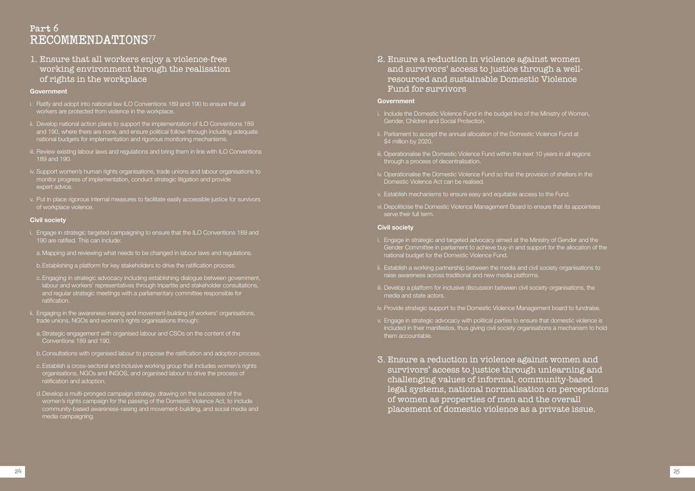# **Part 6 RECOMMENDATIONS**<sup>77</sup>

1. Ensure that all workers enjoy a violence-free working environment through the realisation of rights in the workplace

#### **Government**

- i. Ratify and adopt into national law ILO Conventions 189 and 190 to ensure that all workers are protected from violence in the workplace.
- ii. Develop national action plans to support the implementation of ILO Conventions 189 and 190, where there are none, and ensure political follow-through including adequate national budgets for implementation and rigorous monitoring mechanisms.
- iii. Review existing labour laws and regulations and bring them in line with ILO Conventions 189 and 190.
- iv. Support women's human rights organisations, trade unions and labour organisations to monitor progress of implementation, conduct strategic litigation and provide expert advice.
- v. Put in place rigorous internal measures to facilitate easily accessible justice for survivors of workplace violence.

#### **Civil society**

- i. Engage in strategic targeted campaigning to ensure that the ILO Conventions 189 and 190 are ratified. This can include:
- a. Mapping and reviewing what needs to be changed in labour laws and regulations.
- b.Establishing a platform for key stakeholders to drive the ratification process.
- c. Engaging in strategic advocacy including establishing dialogue between government, labour and workers' representatives through tripartite and stakeholder consultations, and regular strategic meetings with a parliamentary committee responsible for ratification.
- ii. Engaging in the awareness-raising and movement-building of workers' organisations, trade unions, NGOs and women's rights organisations through:
- a. Strategic engagement with organised labour and CSOs on the content of the Conventions 189 and 190.
- b.Consultations with organised labour to propose the ratification and adoption process.
- c. Establish a cross-sectoral and inclusive working group that includes women's rights organisations, NGOs and INGOS, and organised labour to drive the process of ratification and adoption.
- d. Develop a multi-pronged campaign strategy, drawing on the successes of the women's rights campaign for the passing of the Domestic Violence Act, to include community-based awareness-raising and movement-building, and social media and media campaigning.

2. Ensure a reduction in violence against women and survivors' access to justice through a wellresourced and sustainable Domestic Violence Fund for survivors

#### **Government**

- i. Include the Domestic Violence Fund in the budget line of the Ministry of Women, Gender, Children and Social Protection.
- ii. Parliament to accept the annual allocation of the Domestic Violence Fund at \$4 million by 2020.
- iii. Operationalise the Domestic Violence Fund within the next 10 years in all regions through a process of decentralisation.
- iv. Operationalise the Domestic Violence Fund so that the provision of shelters in the Domestic Violence Act can be realised.
- v. Establish mechanisms to ensure easy and equitable access to the Fund.
- vi. Depoliticise the Domestic Violence Management Board to ensure that its appointees serve their full term.

#### **Civil society**

- i. Engage in strategic and targeted advocacy aimed at the Ministry of Gender and the Gender Committee in parliament to achieve buy-in and support for the allocation of the national budget for the Domestic Violence Fund.
- ii. Establish a working partnership between the media and civil society organisations to raise awareness across traditional and new media platforms.
- iii. Develop a platform for inclusive discussion between civil society organisations, the media and state actors.
- iv. Provide strategic support to the Domestic Violence Management board to fundraise.
- v. Engage in strategic advocacy with political parties to ensure that domestic violence is included in their manifestos, thus giving civil society organisations a mechanism to hold them accountable.
- 3. Ensure a reduction in violence against women and survivors' access to justice through unlearning and challenging values of informal, community-based legal systems, national normalisation on perceptions of women as properties of men and the overall placement of domestic violence as a private issue.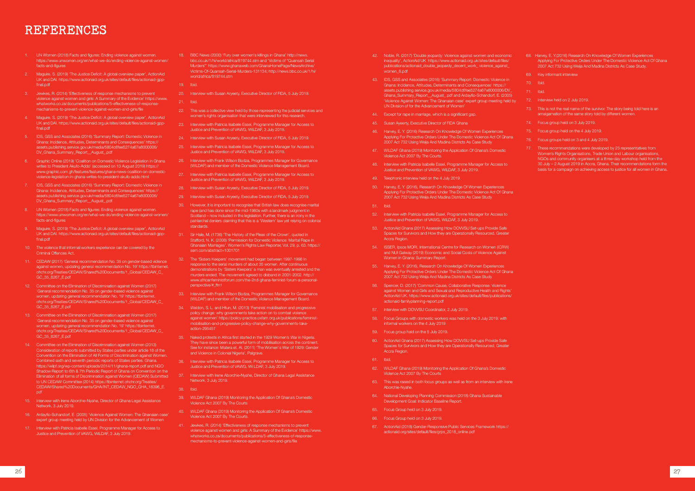- 1. UN Women (2018) Facts and figures: Ending violence against women. https://www.unwomen.org/en/what-we-do/ending-violence-against-women/ facts-and-figures
- 2. Maguire, S. (2019) 'The Justice Deficit: A global overview paper', ActionAid UK and DAI. https://www.actionaid.org.uk/sites/default/files/actionaid-gppfinal.pdf
- 3. Jewkes, R. (2014) 'Effectiveness of response mechanisms to prevent violence against women and girls: A Summary of the Evidence' https://www. whatworks.co.za/documents/publications/5-effectiveness-of-responsemechanisms-to-prevent-violence-against-women-and-girls/file
- Maguire, S. (2019) 'The Justice Deficit: A global overview paper', ActionAid UK and DAI. https://www.actionaid.org.uk/sites/default/files/actionaid-gppfinal.ndf
- 5. IDS, GSS and Associates (2016) 'Summary Report: Domestic Violence in Ghana: Incidence, Attitudes, Determinants and Consequences' https:// assets.publishing.service.gov.uk/media/5804c6fee5274a67e8000006/ DV\_Ghana\_Summary\_Report\_\_August\_.pdf
- 6. Graphic Online (2019) 'Coalition on Domestic Violence Legislation in Ghana writes to President Akufo-Addo' (accessed on 13 August 2019) https:// www.graphic.com.gh/features/features/ghana-news-coalition-on-domesticviolence-legislation-in-ghana-writes-to-president-akufo-addo.html
- 7. IDS, GSS and Associates (2016) 'Summary Report: Domestic Violence in Ghana: Incidence, Attitudes, Determinants and Consequences' https:// assets.publishing.service.gov.uk/media/5804c6fee5274a67e8000006/ DV\_Ghana\_Summary\_Report\_\_August\_.pdf
- 8. UN Women (2018) Facts and figures: Ending violence against women. https://www.unwomen.org/en/what-we-do/ending-violence-against-women/ facts-and-figures
- 9. Maguire, S. (2019) 'The Justice Deficit: A global overview paper', ActionAid UK and DAI. https://www.actionaid.org.uk/sites/default/files/actionaid-gppfinal.pdf
- 10. The violence that informal workers experience can be covered by the Criminal Offences Act.
- 11. CEDAW (2017) 'General recommendation No. 35 on gender-based violence against women, updating general recommendation No. 19' https://tbinternet. ohchr.org/Treaties/CEDAW/Shared%20Documents/1\_Global/CEDAW\_C\_ GC\_35\_8267\_E.pdf
- 12. Committee on the Elimination of Discrimination against Women (2017) 'General recommendation No. 35 on gender-based violence against women, updating general recommendation No. 19' https://tbinternet. ohchr.org/Treaties/CEDAW/Shared%20Documents/1\_Global/CEDAW\_C\_ GC\_35\_8267\_E.pdf
- 13. Committee on the Elimination of Discrimination against Women (2017) 'General recommendation No. 35 on gender-based violence against women, updating general recommendation No. 19' https://tbinternet. ohchr.org/Treaties/CEDAW/Shared%20Documents/1\_Global/CEDAW\_C\_ GC\_35\_8267\_E.pdf
- 14. Committee on the Elimination of Discrimination against Women (2013) Consideration of reports submitted by States parties under article 18 of the Convention on the Elimination of All Forms of Discrimination against Women. Combined sixth and seventh periodic reports of States parties. Ghana. https://wilpf.org/wp-content/uploads/2014/11/ghana-report.pdf and NGO Shadow Report to 6th & 7th Periodic Report of Ghana on Convention on the Elimination of all forms of Discrimination against Women (CEDAW) Submitted to UN CEDAW Committee (2014) https://tbinternet.ohchr.org/Treaties/ CEDAW/Shared%20Documents/GHA/INT\_CEDAW\_NGO\_GHA\_18396\_E. pdf
- 15. Interview with Irene Aborchie-Nyahe, Director of Ghana Legal Assistance Network, 3 July 2019.
- 16. Ardayfio-Schandorf, E. (2005) 'Violence Against Women: The Ghanaian case' expert group meeting held by UN Division for the Advancement of Women
- 17. Interview with Patricia Isabelle Essel, Programme Manager for Access to Justice and Prevention of VAWG, WiLDAF, 3 July 2019.
- 18. BBC News (2000) 'Fury over women's killings in Ghana' http://news. bbc.co.uk/1/hi/world/africa/819744.stm and 'Victims of "Quansah Serial Murders"' https://www.ghanaweb.com/GhanaHomePage/NewsArchive/ Victims-Of-Quansah-Serial-Murders-131134; http://news.bbc.co.uk/1/hi/ world/africa/819744.stm
- 19. Ibid.
- 20. Interview with Susan Aryeety, Executive Director of FIDA, 5 July 2019.
- 21. Ibid.
- 22. This was a collective view held by those representing the judicial services and women's rights organisation that were interviewed for this research.
- 23. Interview with Patricia Isabelle Essel, Programme Manager for Access to Justice and Prevention of VAWG, WiLDAF, 3 July 2019.
- 24. Interview with Susan Arveety, Executive Director of FIDA, 5 July 2019.
- 25. Interview with Patricia Isabelle Essel, Programme Manager for Access to Justice and Prevention of VAWG, WiLDAF, 3 July 2019.
- 26. Interview with Frank Wilson Bodza, Programmes Manager for Governance (WiLDAF) and member of the Domestic Violence Management Board.
- 27. Interview with Patricia Isabelle Essel, Programme Manager for Access to Justice and Prevention of VAWG, WiLDAF, 3 July 2019.
- 28. Interview with Susan Aryeety, Executive Director of FIDA, 5 July 2019.
- 29. Interview with Susan Arveety, Executive Director of FIDA, 5 July 2019.
- 30. However, it is important to recognise that British law does recognise marital rape (and has done since the mid-1980s with a landmark judgment in Scotland – now included in the legislation. Further, there is an irony in the patriarchal deniers claiming that this is a 'Western' law yet relying on colonial standards.
- 31. Sir Hale, M. (1736) 'The History of the Pleas of the Crown', quoted in Stafford, N. K. (2008) 'Permission for Domestic Violence: Marital Rape in Ghanaian Marriages'. Women's Rights Law Reporter, Vol. 29, p. 63. https:// ssrn.com/abstract=1001701
- 32. The 'Sisters Keepers' movement had began between 1997-1998 in response to the serial murders of about 35 women. After continuous demonstrations by 'Sisters Keepers' a man was eventually arrested and the murders ended. The movement agreed to disband in 2001-2002. http:// www.africanfeministforum.com/the-2nd-ghana-feminist-forum-a-personalperspective/#\_ftn1
- 33. Interview with Frank Wilson Bodza, Programmes Manager for Governance (WiLDAF) and member of the Domestic Violence Management Board.
- 34. Weldon, S. L. and Htun, M. (2013) 'Feminist mobilisation and progressive policy change: why governments take action on to combat violence against women' https://policy-practice.oxfam.org.uk/publications/feministmobilisation-and-progressive-policy-change-why-governments-takeaction-295457
- 35. Naked protests in Africa first started in the 1929 Women's War in Nigeria. They have since been a powerful form of mobilisation across the continent. See for instance: Matera et. Al, (2011) 'The Women's War of 1929: Gender and Violence in Colonial Nigeria', Palgrave.
- 36. Interview with Patricia Isabelle Essel, Programme Manager for Access to Justice and Prevention of VAWG, Wi LDAF, 3 July 2019.
- 37. Interview with Irene Aborchie-Nyahe, Director of Ghana Legal Assistance Network, 3 July 2019.
- 38. Ibid.
- 39. WiLDAF Ghana (2019) Monitoring the Application Of Ghana's Domestic Violence Act 2007 By The Courts
- 40. WiLDAF Ghana (2019) Monitoring the Application Of Ghana's Domestic Violence Act 2007 By The Courts.
- 41. Jewkes, R. (2014) 'Effectiveness of response mechanisms to prevent violence against women and girls: A Summary of the Evidence' https://www. whatworks.co.za/documents/publications/5-effectiveness-of-responsemechanisms-to-prevent-violence-against-women-and-girls/file
- 42. Noble, R. (2017) 'Double jeopardy: Violence against women and economic inequality', ActionAid UK https://www.actionaid.org.uk/sites/default/files/ publications/actionaid\_double\_jeopardy\_decent\_work\_ violence\_against women\_6.pdf
- 43. IDS, GSS and Associates (2016) 'Summary Report: Domestic Violence in Ghana: Incidence, Attitudes, Determinants and Consequences' https:// assets.publishing.service.gov.uk/media/5804c6fee5274a67e8000006/DV\_ Ghana\_Summary\_Report\_\_August\_.pdf and Ardayfio-Schandorf, E. (2005) 'Violence Against Women: The Ghanaian case' expert group meeting held by UN Division of for the Advancement of Women'
- 44. Except for rape in marriage, which is a significant gap.
- 45. Susan Ayeerty, Executive Director of FIDA Ghana
- 46. Harvey, E. Y. (2016) Research On Knowledge Of Women Experiences Applying For Protective Orders Under The Domestic Violence Act Of Ghana 2007 Act 732 Using Weija And Madina Districts As Case Study
- WiLDAF Ghana (2019) Monitoring the Application Of Ghana's Domestic Violence Act 2007 By The Courts.
- 48. Interview with Patricia Isabelle Essel, Programme Manager for Access to Justice and Prevention of VAWG, WiLDAF, 3 July 2019.
- 49. Telephonic interview held on the 4 July 2019.
- 50. Harvey, E. Y. (2016), Research On Knowledge Of Women Experiences Applying For Protective Orders Under The Domestic Violence Act Of Ghana 2007 Act 732 Using Weija And Madina Districts As Case Study
- 51. Ibid.
- 52. Interview with Patricia Isabelle Essel, Programme Manager for Access to Justice and Prevention of VAWG, WiLDAF, 3 July 2019.
- 53. ActionAid Ghana (2017) Assessing How DOVVSU Set-ups Provide Safe Spaces for Survivors and How they are Operationally Resourced, Greater Accra Region.
- 54. ISSER, Ipsos MORI, International Centre for Research on Women (ICRW) and NUI Galway (2019) Economic and Social Costs of Violence Against Women in Ghana: Summary Report.
- 55. Harvey, E. Y. (2016), Research On Knowledge Of Women Experiences Applying For Protective Orders Under The Domestic Violence Act Of Ghana 2007 Act 732 Using Weija And Madina Districts As Case Study
- 56. Spencer, D. (2017) 'Common Cause, Collaborative Response: Violence against Women and Girls and Sexual and Reproductive Health and Rights' ActionAid UK. https://www.actionaid.org.uk/sites/default/files/publications/ actionaid-familyplanning-report.pdf
- 57. Interview with DOVVSU Coordinator, 2 July 2019.
- 58. Focus Groups with domestic workers was held on the 3 July 2019; with informal workers on the 4 July 2019.
- 59. Focus group held on the 5 July 2019.
- 60. ActionAid Ghana (2017) Assessing How DOVVSU Set-ups Provide Safe Spaces for Survivors and How they are Operationally Resourced, Greater Accra Region.
- 61. Ibid.
- 62. WiLDAF Ghana (2019) Monitoring the Application Of Ghana's Domestic Violence Act 2007 By The Courts
- 63. This was raised in both focus groups as well as from an interview with Irene Aborchie-Nyahe.
- 64. National Developing Planning Commission (2018) Ghana Sustainable Development Goal: Indicator Baseline Report.
- 65. Focus Group held on 3 July 2019.
- 66. Focus Group held on 3 July 2019.
- 67. ActionAid (2018) Gender-Responsive Public Services Framework https:// actionaid.org/sites/default/files/grps\_2018\_online.pdf
- 68. Harvey, E. Y.(2016) Research On Knowledge Of Women Experiences Applying For Protective Orders Under The Domestic Violence Act Of Ghana 2007 Act 732 Using Weija And Madina Districts As Case Study.
- 69. Key informant interview
- 70. Ibid.
- 71. Ibid.
- 72. Interview held on 2 July 2019.
- 73. This is not the real name of the survivor. The story being told here is an amalgamation of the same story told by different women.
- 74. Focus group held on 3 July 2019.
- 75. Focus group held on the 4 July 2019.
- 76. Focus groups held on 3 and 4 July 2019.
- 77. These recommendations were developed by 25 representatives from Women's Rights Organisations, Trade Union and Labour organisations, NGOs and community organisers at a three-day workshop held from the 30 July – 2 August 2019 in Accra, Ghana. Their recommendations form the basis for a campaign on achieving access to justice for all women in Ghana.

# **REFERENCES**